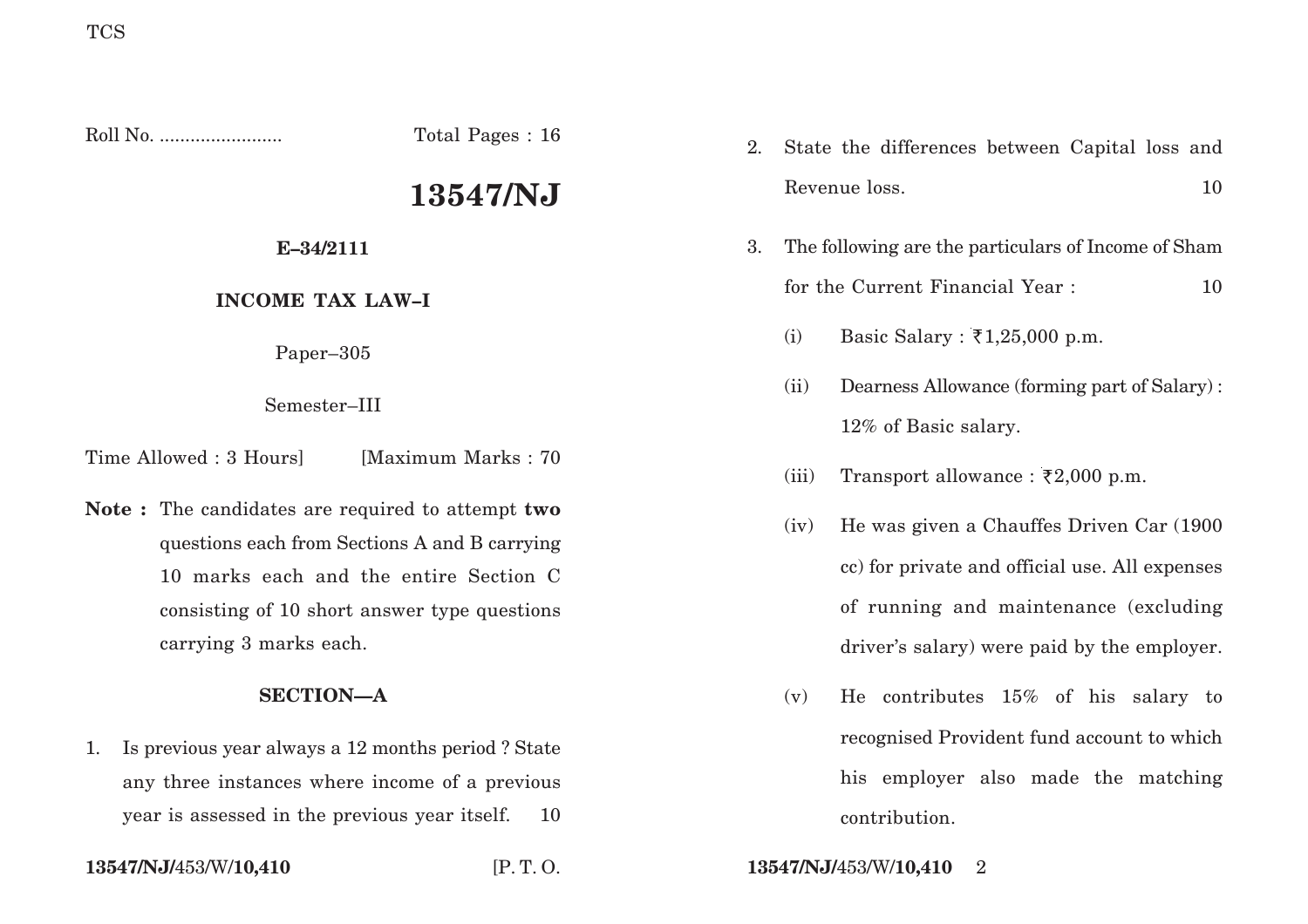Roll No. ........................ Total Pages : 16

# **13547/NJ**

## **E–34/2111**

## **INCOME TAX LAW–I**

Paper–305

Semester–III

Time Allowed : 3 Hoursl [Maximum Marks : 70]

**Note :** The candidates are required to attempt **two** questions each from Sections A and B carrying 10 marks each and the entire Section C consisting of 10 short answer type questions carrying 3 marks each.

## **SECTION—A**

1. Is previous year always a 12 months period ? State any three instances where income of a previous year is assessed in the previous year itself. 10

- 2. State the differences between Capital loss and Revenue loss. 10
- 3. The following are the particulars of Income of Sham for the Current Financial Year : 10
	- (i) Basic Salary :  $\bar{\tau}$ 1,25,000 p.m.
	- (ii) Dearness Allowance (forming part of Salary) : 12% of Basic salary.
	- (iii) Transport allowance :  $\overline{\xi}2,000$  p.m.
	- (iv) He was given a Chauffes Driven Car (1900 cc) for private and official use. All expenses of running and maintenance (excluding driver's salary) were paid by the employer.
	- (v) He contributes 15% of his salary to recognised Provident fund account to which his employer also made the matching contribution.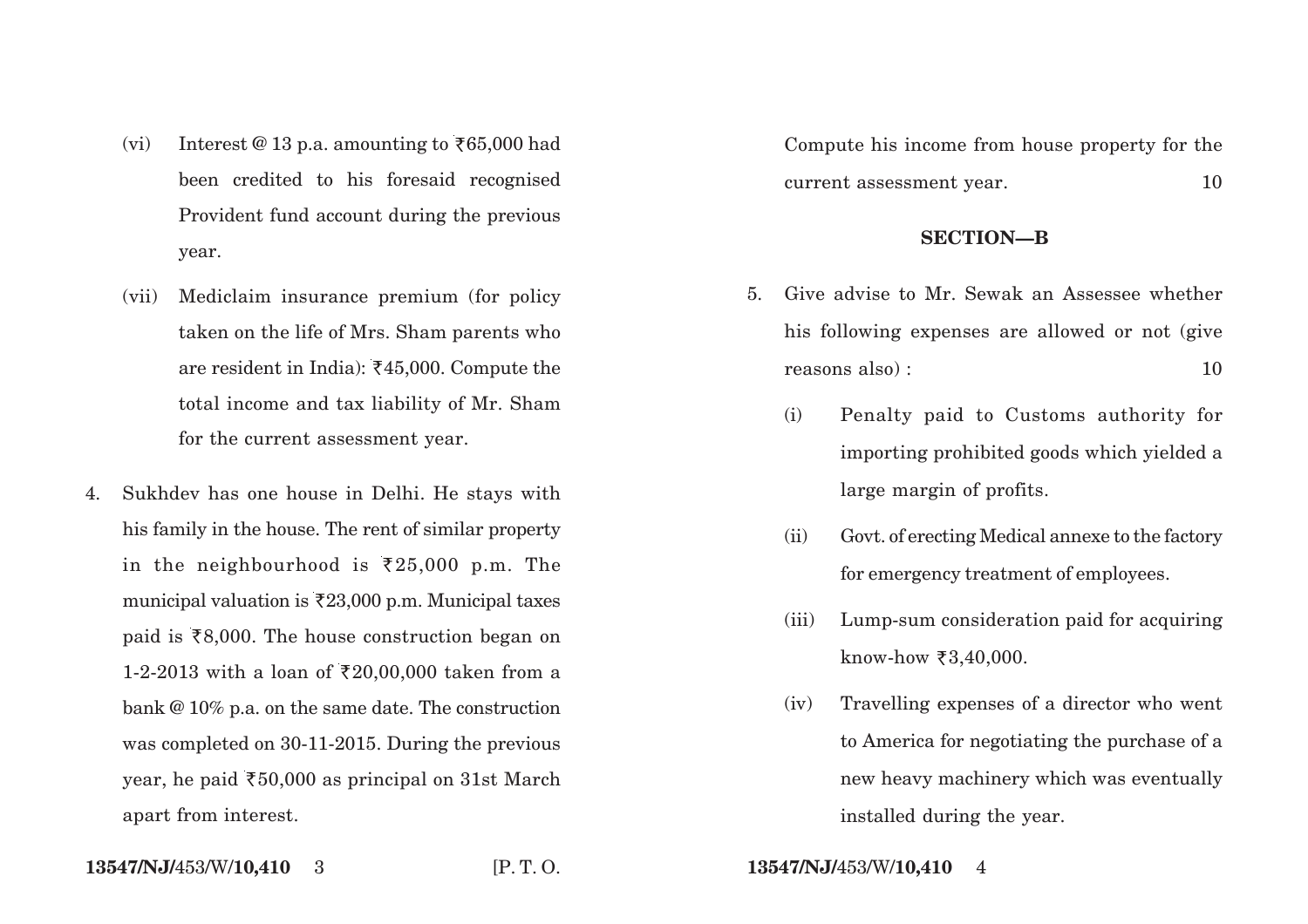- (vi) Interest @ 13 p.a. amounting to  $\overline{\xi}65,000$  had been credited to his foresaid recognised Provident fund account during the previous year.
- (vii) Mediclaim insurance premium (for policy taken on the life of Mrs. Sham parents who are resident in India):  $\overline{\xi}45,000$ . Compute the total income and tax liability of Mr. Sham for the current assessment year.
- 4. Sukhdev has one house in Delhi. He stays with his family in the house. The rent of similar property in the neighbourhood is  $\overline{25,000}$  p.m. The municipal valuation is  $\bar{\tau}$ 23,000 p.m. Municipal taxes paid is  $\bar{\epsilon}8,000$ . The house construction began on 1-2-2013 with a loan of ₹20,00,000 taken from a bank @ 10% p.a. on the same date. The construction was completed on 30-11-2015. During the previous year, he paid  $\overline{50,000}$  as principal on 31st March apart from interest.

Compute his income from house property for the current assessment year. 10

### **SECTION—B**

- 5. Give advise to Mr. Sewak an Assessee whether his following expenses are allowed or not (give reasons also) : 10
	- (i) Penalty paid to Customs authority for importing prohibited goods which yielded a large margin of profits.
	- (ii) Govt. of erecting Medical annexe to the factory for emergency treatment of employees.
	- (iii) Lump-sum consideration paid for acquiring  $know$ -how ₹3,40,000.
	- (iv) Travelling expenses of a director who went to America for negotiating the purchase of a new heavy machinery which was eventually installed during the year.

**13547/NJ/**453/W/**10,410** 3 [P. T. O. **13547/NJ/**453/W/**10,410** 4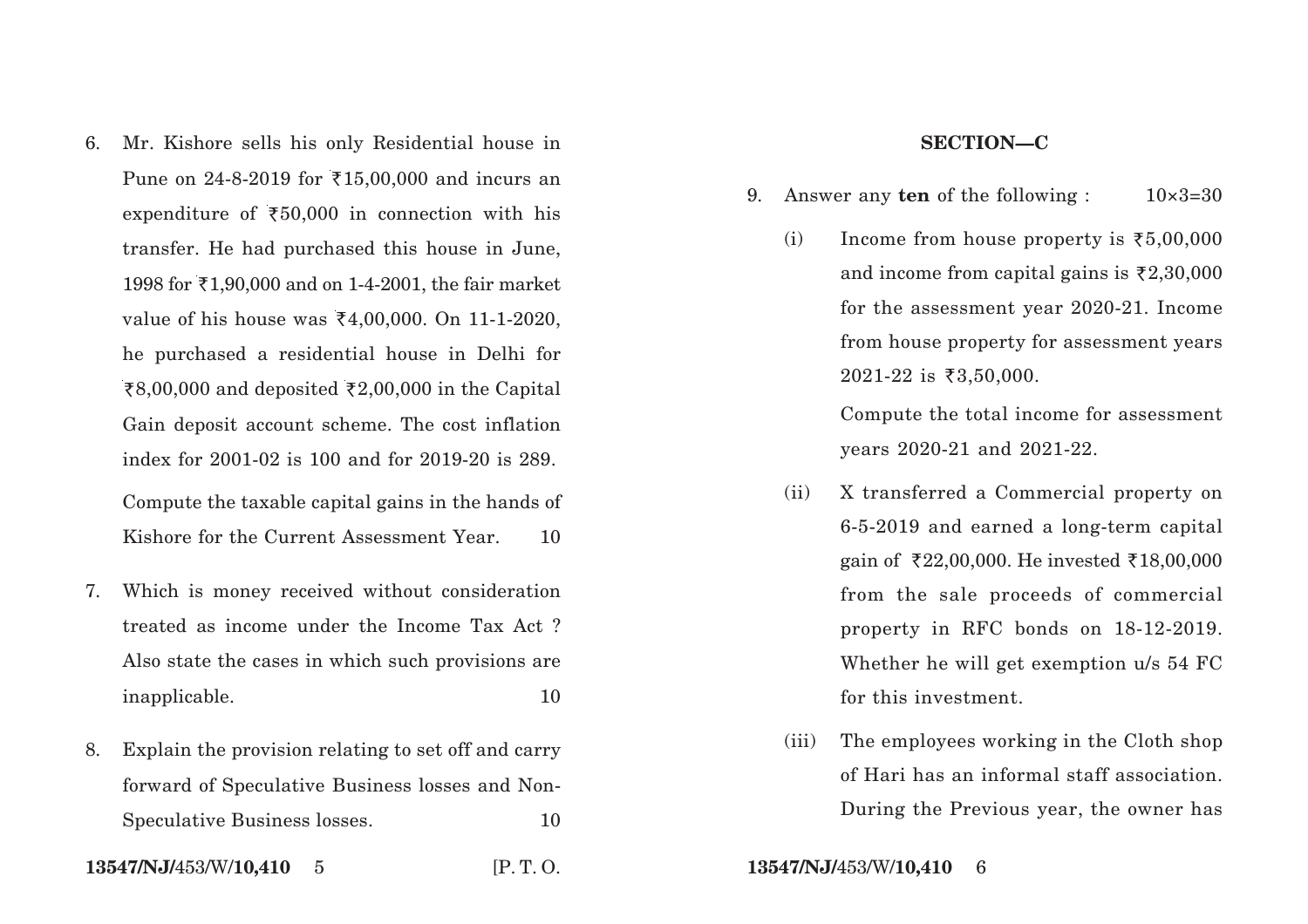6. Mr. Kishore sells his only Residential house in Pune on 24-8-2019 for  $\bar{\tau}$ 15,00,000 and incurs an expenditure of  $\overline{50,000}$  in connection with his transfer. He had purchased this house in June, 1998 for  $\bar{x}$ 1,90,000 and on 1-4-2001, the fair market value of his house was  $\bar{x}4,00,000$ . On 11-1-2020, he purchased a residential house in Delhi for ₹8,00,000 and deposited ₹2,00,000 in the Capital Gain deposit account scheme. The cost inflation index for 2001-02 is 100 and for 2019-20 is 289. Compute the taxable capital gains in the hands of

Kishore for the Current Assessment Year. 10

- 7. Which is money received without consideration treated as income under the Income Tax Act ? Also state the cases in which such provisions are inapplicable. 10
- 8. Explain the provision relating to set off and carry forward of Speculative Business losses and Non-Speculative Business losses. 10
- **13547/NJ/**453/W/**10,410** 5 [P. T. O. **13547/NJ/**453/W/**10,410** 6

#### **SECTION—C**

- 9. Answer any **ten** of the following :  $10 \times 3=30$ 
	- (i) Income from house property is  $\overline{5,00,000}$ and income from capital gains is  $\bar{\zeta}2,30,000$ for the assessment year 2020-21. Income from house property for assessment years  $2021 - 22$  is  $\overline{53,50,000}$ .

Compute the total income for assessment years 2020-21 and 2021-22.

- (ii) X transferred a Commercial property on 6-5-2019 and earned a long-term capital gain of  $\overline{22,00,000}$ . He invested  $\overline{218,00,000}$ from the sale proceeds of commercial property in RFC bonds on 18-12-2019. Whether he will get exemption u/s 54 FC for this investment.
- (iii) The employees working in the Cloth shop of Hari has an informal staff association. During the Previous year, the owner has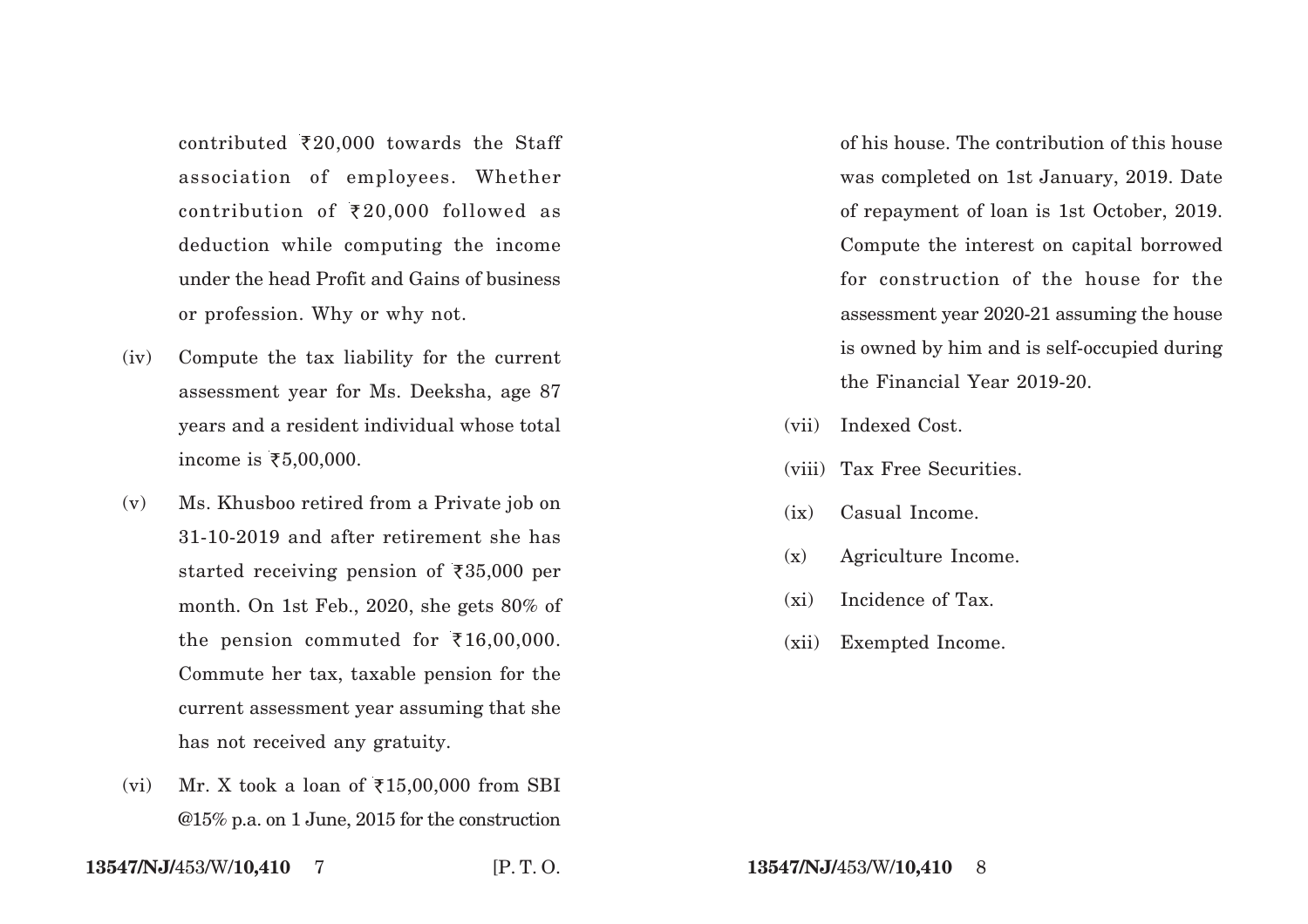contributed  $\overline{*}20,000$  towards the Staff association of employees. Whether contribution of  $\bar{\tau}$ 20,000 followed as deduction while computing the income under the head Profit and Gains of business or profession. Why or why not.

- (iv) Compute the tax liability for the current assessment year for Ms. Deeksha, age 87 years and a resident individual whose total income is ₹5,00,000.
- (v) Ms. Khusboo retired from a Private job on 31-10-2019 and after retirement she has started receiving pension of  $\overline{\xi}35,000$  per month. On 1st Feb., 2020, she gets 80% of the pension commuted for  $\bar{\tau}$ 16,00,000. Commute her tax, taxable pension for the current assessment year assuming that she has not received any gratuity.
- (vi) Mr. X took a loan of  $\overline{\xi}$ 15,00,000 from SBI @15% p.a. on 1 June, 2015 for the construction

of his house. The contribution of this house was completed on 1st January, 2019. Date of repayment of loan is 1st October, 2019. Compute the interest on capital borrowed for construction of the house for the assessment year 2020-21 assuming the house is owned by him and is self-occupied during the Financial Year 2019-20.

- (vii) Indexed Cost.
- (viii) Tax Free Securities.
- (ix) Casual Income.
- (x) Agriculture Income.
- (xi) Incidence of Tax.
- (xii) Exempted Income.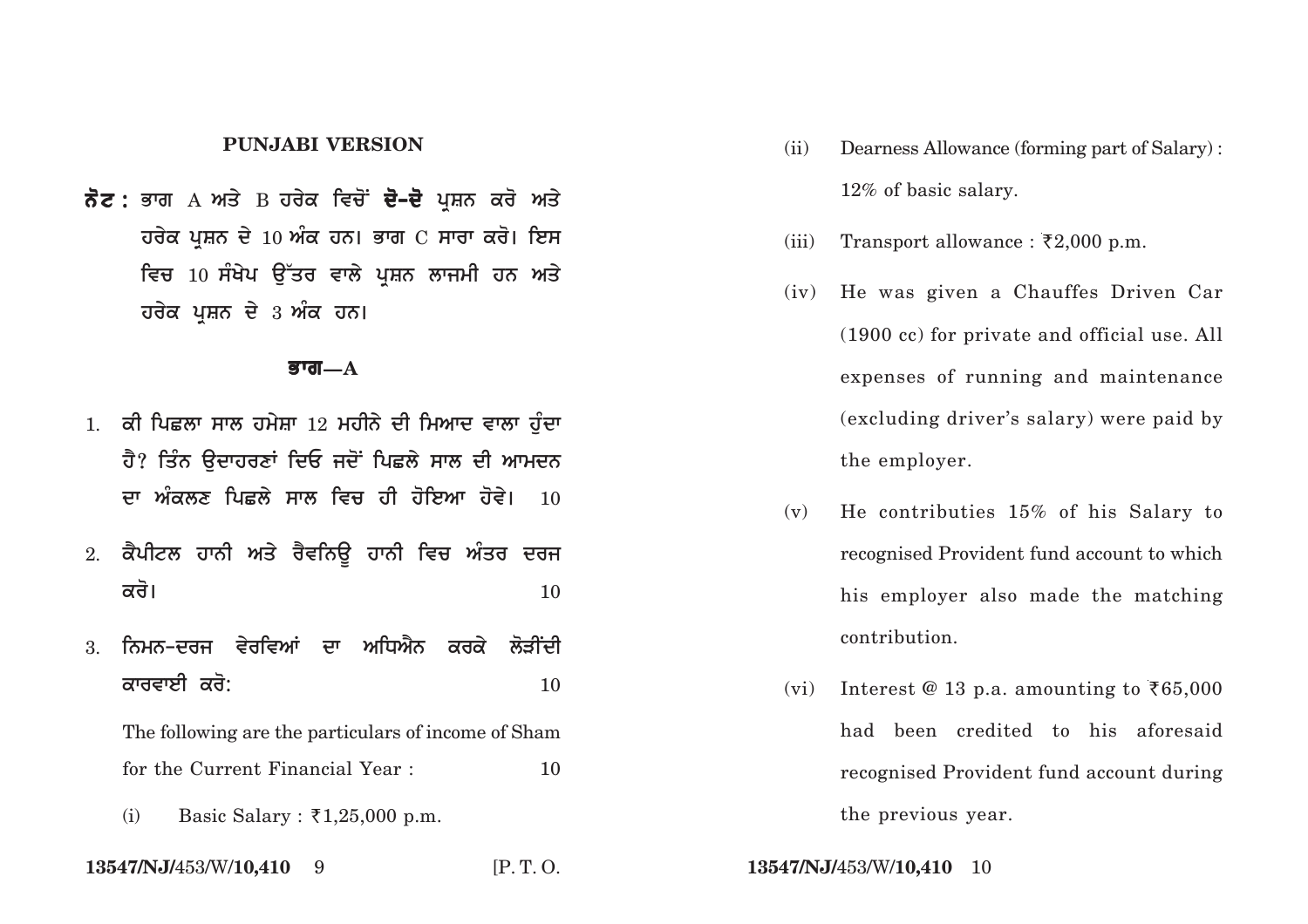#### **PUNJABI VERSION**

**ਨੋਟ :** ਭਾਗ А ਅਤੇ В ਹਰੇਕ ਵਿਚੋਂ **ਦੋ–ਦੋ** ਪਸ਼ਨ ਕਰੋ ਅਤੇ **ਹਰੇਕ ਪਸ਼ਨ ਦੇ 10 ਅੰਕ ਹਨ। ਭਾਗ**  $C$  **ਸਾਰਾ ਕਰੋ। ਇਸ** ਵਿਚ 10 ਸੰਖੇਪ ਉੱਤਰ ਵਾਲੇ ਪ੍ਰਸ਼ਨ ਲਾਜਮੀ ਹਨ ਅਤੇ **ਹਰੇਕ ਪਸ਼ਨ ਦੇ 3 ਅੰਕ ਹਨ।** 

#### **Bwg—A**

- 1. ਕੀ ਪਿਛਲਾ ਸਾਲ ਹਮੇਸ਼ਾ 12 ਮਹੀਨੇ ਦੀ ਮਿਆਦ ਵਾਲਾ ਹੰਦਾ <u>ਹੈ? ਤਿੰਨ ਉਦਾਹਰਣਾਂ ਦਿਓ ਜਦੋਂ ਪਿਛਲੇ ਸਾਲ ਦੀ ਆਮਦਨ</u> **ਦਾ ਅੰਕਲਣ ਪਿਛਲੇ ਸਾਲ ਵਿਚ ਹੀ ਹੋਇਆ ਹੋਵੇ। 10**
- 2. ਕੈਪੀਟਲ ਹਾਨੀ ਅਤੇ ਰੈਵਨਿਊ ਹਾਨੀ ਵਿਚ ਅੰਤਰ ਦਰਜ  $\overrightarrow{\mathbf{a}}$ ਰੋ।  $\overrightarrow{\mathbf{a}}$
- 3. ਨਿਮਨ-ਦਰਜ ਵੇਰਵਿਆਂ ਦਾ ਅਧਿਐਨ ਕਰਕੇ ਲੋ<del>ਤੀ</del>ਂਦੀ <mark>ਕਾਰਵਾਈ ਕਰੋ:</mark> 2008 – 2008 ਵਿੱਚ 2008 ਵਿੱਚ 2008 ਵਿੱਚ 2008 ਵਿੱਚ 2008 ਵਿੱਚ 2008 ਵਿੱਚ 2008 ਵਿੱਚ 2008 ਵਿੱਚ 2008 ਵਿੱਚ 20<br>ਹਵਾਲਾ ਪ੍ਰਤੀ ਦਾ ਸ਼ਹਿਰ ਸ਼ਹਿਰ ਦੀ ਸ਼ਹਿਰ ਦਾ ਸ਼ਹਿਰ ਸ਼ਹਿਰ ਦਾ ਸ਼ਹਿਰ ਸ਼ਹਿਰ ਦਾ ਸ਼ਹਿਰ ਸ਼ਹਿਰ ਦਾ ਸ਼ਹਿਰ ਸ਼ਹਿਰ ਦਾ ਸ਼ਹਿਰ ਸ਼

The following are the particulars of income of Sham for the Current Financial Year : 10

(i) Basic Salary :  $\bar{\tau}$ 1,25,000 p.m.

**13547/NJ/**453/W/**10,410** 9 [P. T. O. **13547/NJ/**453/W/**10,410** 10

- (ii) Dearness Allowance (forming part of Salary) : 12% of basic salary.
- (iii) Transport allowance :  $\overline{\xi}2,000$  p.m.
- (iv) He was given a Chauffes Driven Car (1900 cc) for private and official use. All expenses of running and maintenance (excluding driver's salary) were paid by the employer.
- (v) He contributies 15% of his Salary to recognised Provident fund account to which his employer also made the matching contribution.
- (vi) Interest @ 13 p.a. amounting to  $\bar{\tau}65,000$ had been credited to his aforesaid recognised Provident fund account during the previous year.
-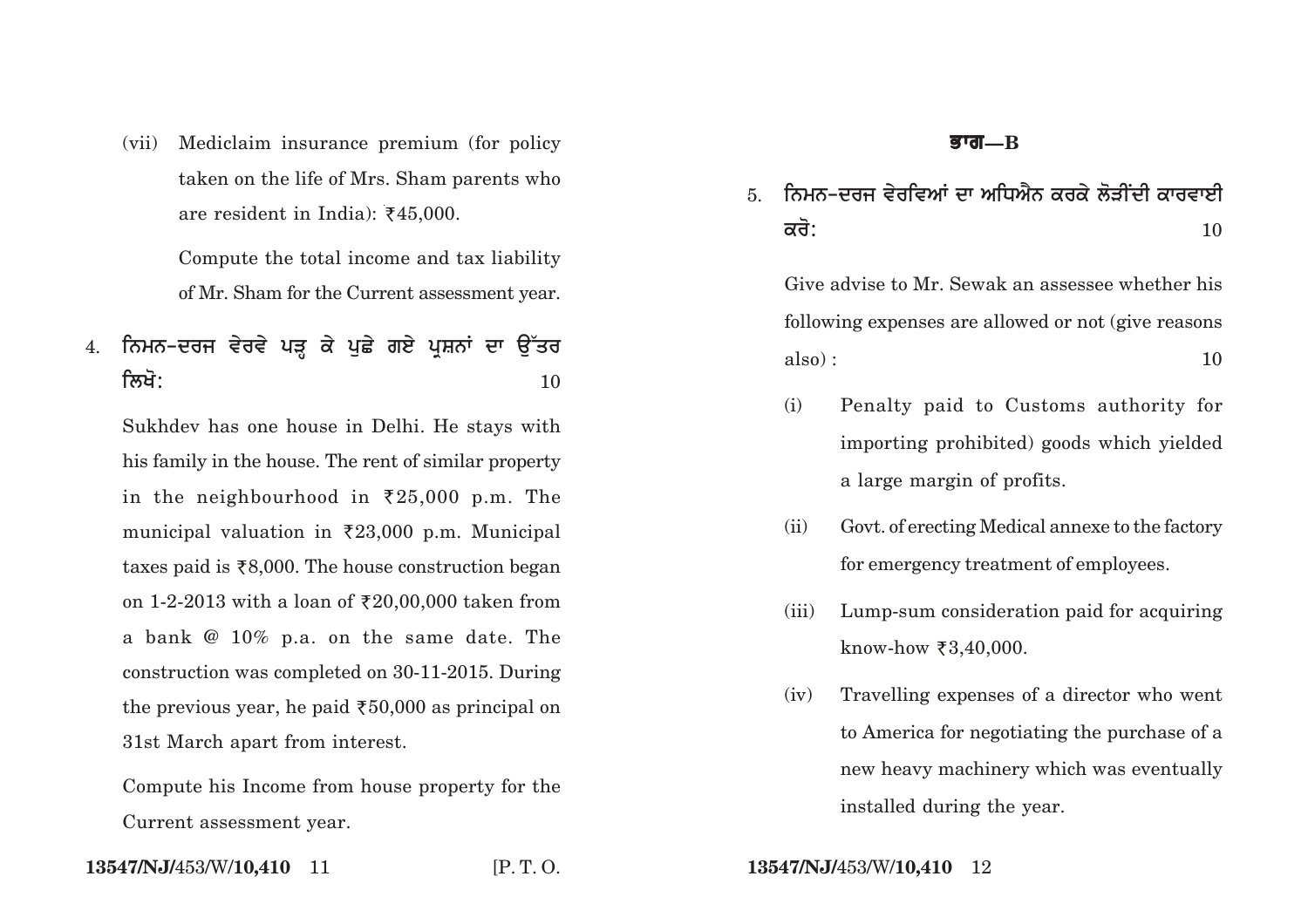(vii) Mediclaim insurance premium (for policy taken on the life of Mrs. Sham parents who are resident in India):  $\overline{\xi}45,000$ .

> Compute the total income and tax liability of Mr. Sham for the Current assessment year.

# 4. ਨਿਮਨ-ਦਰਜ ਵੇਰਵੇ ਪੜ੍ਹ ਕੇ ਪੁਛੇ ਗਏ ਪੁਸ਼ਨਾਂ ਦਾ **ਉੱਤ**ਰ **ilKo:** <sup>10</sup>

Sukhdev has one house in Delhi. He stays with his family in the house. The rent of similar property in the neighbourhood in  $\overline{25,000}$  p.m. The municipal valuation in  $\overline{2}23,000$  p.m. Municipal taxes paid is  $\bar{\xi}8,000$ . The house construction began on 1-2-2013 with a loan of  $\text{\textsterling}20,00,000$  taken from a bank @ 10% p.a. on the same date. The construction was completed on 30-11-2015. During the previous year, he paid  $\overline{50,000}$  as principal on 31st March apart from interest.

Compute his Income from house property for the Current assessment year.

**13547/NJ/**453/W/**10,410** 11 [P. T. O. **13547/NJ/**453/W/**10,410** 12

### **Bwg—B**

5. ਨਿਮਨ-ਦਰਜ ਵੇਰਵਿਆਂ ਦਾ ਅਧਿਐਨ ਕਰਕੇ ਲੋਤੀਂਦੀ ਕਾਰਵਾਈ  $\overrightarrow{\mathsf{adj}}$ : 10

Give advise to Mr. Sewak an assessee whether his following expenses are allowed or not (give reasons  $also) : 10$ 

- (i) Penalty paid to Customs authority for importing prohibited) goods which yielded a large margin of profits.
- (ii) Govt. of erecting Medical annexe to the factory for emergency treatment of employees.
- (iii) Lump-sum consideration paid for acquiring  $know$ -how ₹3,40,000.
- (iv) Travelling expenses of a director who went to America for negotiating the purchase of a new heavy machinery which was eventually installed during the year.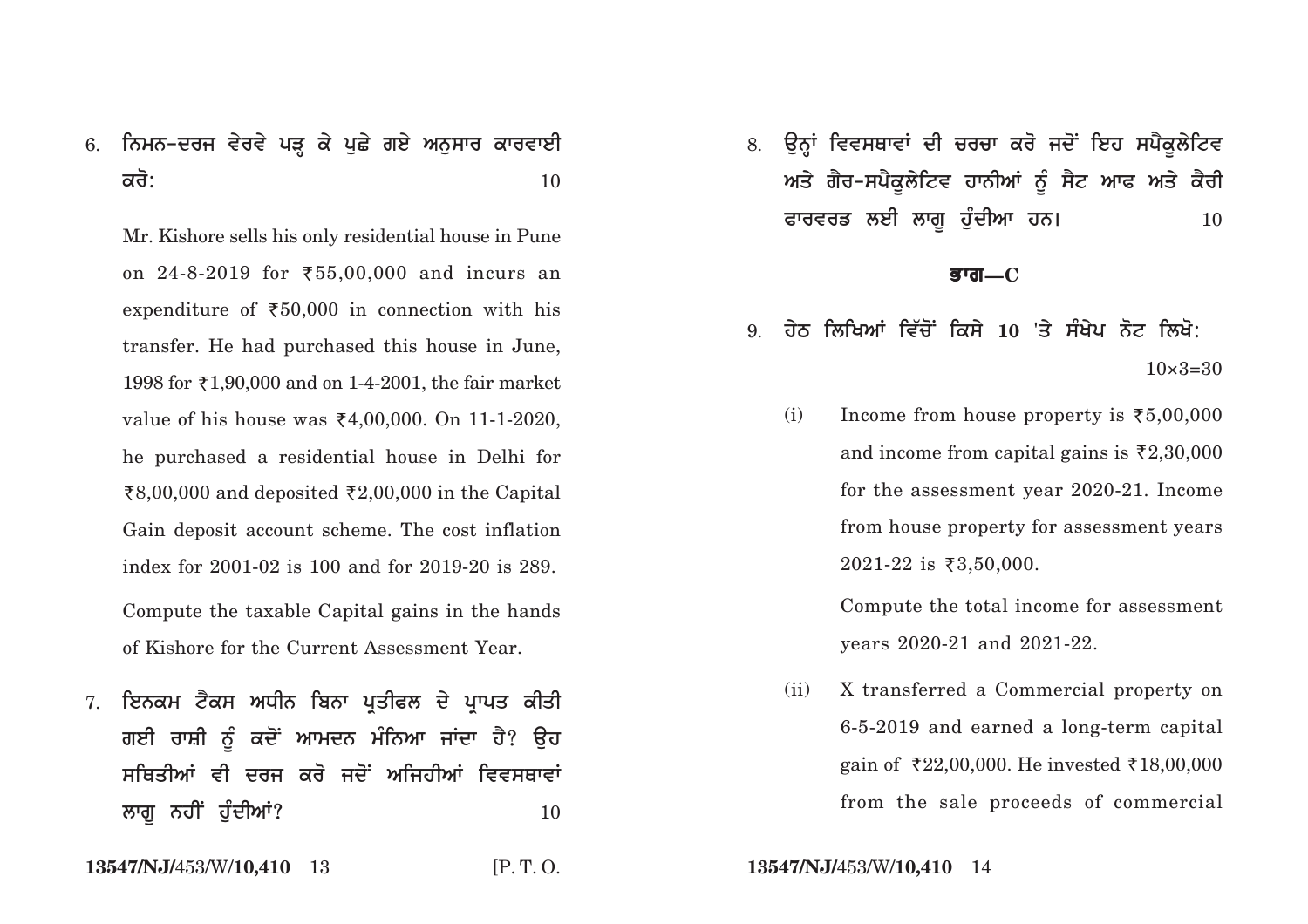# 6. ਨਿਮਨ-ਦਰਜ ਵੇਰਵੇ ਪੜ੍ਹ ਕੇ ਪੁਛੇ ਗਏ ਅਨੁਸਾਰ ਕਾਰਵਾਈ  $\overrightarrow{\mathsf{adj}}$ : 10

Mr. Kishore sells his only residential house in Pune on 24–8–2019 for ₹55,00,000 and incurs an expenditure of  $\bar{x}50,000$  in connection with his transfer. He had purchased this house in June, 1998 for `1,90,000 and on 1-4-2001, the fair market value of his house was `4,00,000. On 11-1-2020, he purchased a residential house in Delhi for र $8,00,000$  and deposited ₹2,00,000 in the Capital Gain deposit account scheme. The cost inflation index for 2001-02 is 100 and for 2019-20 is 289.

Compute the taxable Capital gains in the hands of Kishore for the Current Assessment Year.

7. **ਇਨਕਮ ਟੈਕਸ ਅਧੀਨ ਬਿਨਾ ਪਤੀਫਲ ਦੇ ਪਾਪਤ ਕੀ**ਤੀ ਗਈ ਰਾਸ਼ੀ ਨੂੰ ਕਦੋਂ ਆਮਦਨ ਮੰਨਿਆ ਜਾਂਦਾ **ਹੈ? ੳਹ** ਸਥਿਤੀਆਂ ਵੀ ਦਰਜ ਕਰੋ ਜਦੋਂ ਅਜਿਹੀਆਂ ਵਿਵਸ**ਥਾ**ਵਾਂ *l***wgu ਨਹੀਂ ਹੰਦੀਆਂ?** 20 ਕਿਸੇ 20 ਕਿਸੇ 10

**13547/NJ/**453/W/**10,410** 13 [P. T. O. **13547/NJ/**453/W/**10,410** 14

8. ਉਨ੍ਹਾਂ ਵਿਵਸਥਾਵਾਂ ਦੀ ਚਰਚਾ ਕਰੋ ਜਦੋਂ ਇਹ ਸਪੈਕੁਲੇਟਿਵ ਅਤੇ ਗੈਰ-ਸਪੈਕੁਲੇਟਿਵ ਹਾਨੀਆਂ ਨੂੰ ਸੈਟ ਆਫ ਅਤੇ ਕੈਰੀ ਫਾਰਵਰਡ ਲਈ ਲਾਗੁ ਹੁੰਦੀਆ ਹਨ। **10** 

#### **Bwg—C**

- $9.$  ਹੇਠ ਲਿਖਿਆਂ ਵਿੱਚੋਂ ਕਿਸੇ 10 'ਤੇ ਸੰਖੇਪ ਨੋਟ ਲਿਖੋ:  $10\times3=30$ 
	- (i) Income from house property is  $\bar{z}5,00,000$ and income from capital gains is  $\bar{\mathfrak{c}}2,30,000$ for the assessment year 2020-21. Income from house property for assessment years  $2021$ -22 is ₹3,50,000.

Compute the total income for assessment years 2020-21 and 2021-22.

(ii) X transferred a Commercial property on 6-5-2019 and earned a long-term capital gain of `22,00,000. He invested `18,00,000 from the sale proceeds of commercial